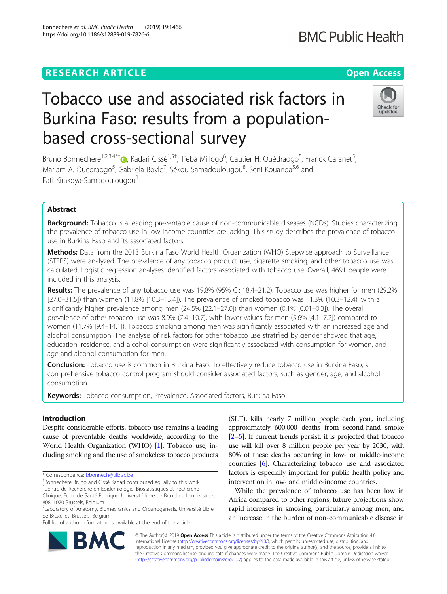# **RESEARCH ARTICLE Example 2014 12:30 The Contract of Contract ACCESS**

# Tobacco use and associated risk factors in Burkina Faso: results from a populationbased cross-sectional survey

Bruno Bonnechère<sup>1,2,3,4\*[†](http://orcid.org/0000-0002-7729-4700)</sup>®, Kadari Cissé<sup>1,5†</sup>, Tiéba Millogo<sup>6</sup>, Gautier H. Ouédraogo<sup>5</sup>, Franck Garanet<sup>5</sup> , Mariam A. Ouedraogo<sup>5</sup>, Gabriela Boyle<sup>7</sup>, Sékou Samadoulougou<sup>8</sup>, Seni Kouanda<sup>5,6</sup> and Fati Kirakoya-Samadoulougou<sup>1</sup>

# Abstract

**Background:** Tobacco is a leading preventable cause of non-communicable diseases (NCDs). Studies characterizing the prevalence of tobacco use in low-income countries are lacking. This study describes the prevalence of tobacco use in Burkina Faso and its associated factors.

Methods: Data from the 2013 Burkina Faso World Health Organization (WHO) Stepwise approach to Surveillance (STEPS) were analyzed. The prevalence of any tobacco product use, cigarette smoking, and other tobacco use was calculated. Logistic regression analyses identified factors associated with tobacco use. Overall, 4691 people were included in this analysis.

Results: The prevalence of any tobacco use was 19.8% (95% CI: 18.4–21.2). Tobacco use was higher for men (29.2% [27.0–31.5]) than women (11.8% [10.3–13.4]). The prevalence of smoked tobacco was 11.3% (10.3–12.4), with a significantly higher prevalence among men (24.5% [22.1–27.0]) than women (0.1% [0.01–0.3]). The overall prevalence of other tobacco use was 8.9% (7.4–10.7), with lower values for men (5.6% [4.1–7.2]) compared to women (11.7% [9.4–14.1]). Tobacco smoking among men was significantly associated with an increased age and alcohol consumption. The analysis of risk factors for other tobacco use stratified by gender showed that age, education, residence, and alcohol consumption were significantly associated with consumption for women, and age and alcohol consumption for men.

Conclusion: Tobacco use is common in Burkina Faso. To effectively reduce tobacco use in Burkina Faso, a comprehensive tobacco control program should consider associated factors, such as gender, age, and alcohol consumption.

Keywords: Tobacco consumption, Prevalence, Associated factors, Burkina Faso

# Introduction

Despite considerable efforts, tobacco use remains a leading cause of preventable deaths worldwide, according to the World Health Organization (WHO) [\[1\]](#page-7-0). Tobacco use, including smoking and the use of smokeless tobacco products

\* Correspondence: [bbonnech@ulb.ac.be](mailto:bbonnech@ulb.ac.be) †

<sup>+</sup>Bonnechère Bruno and Cissé Kadari contributed equally to this work.

Full list of author information is available at the end of the article

(SLT), kills nearly 7 million people each year, including approximately 600,000 deaths from second-hand smoke [[2](#page-7-0)–[5\]](#page-7-0). If current trends persist, it is projected that tobacco use will kill over 8 million people per year by 2030, with 80% of these deaths occurring in low- or middle-income countries [\[6\]](#page-7-0). Characterizing tobacco use and associated factors is especially important for public health policy and intervention in low- and middle-income countries.

While the prevalence of tobacco use has been low in Africa compared to other regions, future projections show rapid increases in smoking, particularly among men, and an increase in the burden of non-communicable disease in

© The Author(s). 2019 **Open Access** This article is distributed under the terms of the Creative Commons Attribution 4.0 International License [\(http://creativecommons.org/licenses/by/4.0/](http://creativecommons.org/licenses/by/4.0/)), which permits unrestricted use, distribution, and reproduction in any medium, provided you give appropriate credit to the original author(s) and the source, provide a link to the Creative Commons license, and indicate if changes were made. The Creative Commons Public Domain Dedication waiver [\(http://creativecommons.org/publicdomain/zero/1.0/](http://creativecommons.org/publicdomain/zero/1.0/)) applies to the data made available in this article, unless otherwise stated.





<sup>&</sup>lt;sup>1</sup>Centre de Recherche en Epidémiologie, Biostatistiques et Recherche Clinique, Ecole de Santé Publique, Université libre de Bruxelles, Lennik street 808, 1070 Brussels, Belgium

<sup>2</sup> Laboratory of Anatomy, Biomechanics and Organogenesis, Université Libre de Bruxelles, Brussels, Belgium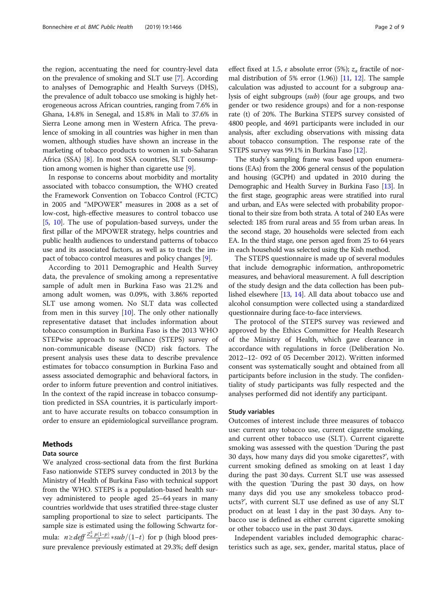the region, accentuating the need for country-level data on the prevalence of smoking and SLT use [[7\]](#page-7-0). According to analyses of Demographic and Health Surveys (DHS), the prevalence of adult tobacco use smoking is highly heterogeneous across African countries, ranging from 7.6% in Ghana, 14.8% in Senegal, and 15.8% in Mali to 37.6% in Sierra Leone among men in Western Africa. The prevalence of smoking in all countries was higher in men than women, although studies have shown an increase in the marketing of tobacco products to women in sub-Saharan Africa (SSA) [\[8\]](#page-8-0). In most SSA countries, SLT consumption among women is higher than cigarette use [[9](#page-8-0)].

In response to concerns about morbidity and mortality associated with tobacco consumption, the WHO created the Framework Convention on Tobacco Control (FCTC) in 2005 and "MPOWER" measures in 2008 as a set of low-cost, high-effective measures to control tobacco use [[5,](#page-7-0) [10\]](#page-8-0). The use of population-based surveys, under the first pillar of the MPOWER strategy, helps countries and public health audiences to understand patterns of tobacco use and its associated factors, as well as to track the impact of tobacco control measures and policy changes [[9\]](#page-8-0).

According to 2011 Demographic and Health Survey data, the prevalence of smoking among a representative sample of adult men in Burkina Faso was 21.2% and among adult women, was 0.09%, with 3.86% reported SLT use among women. No SLT data was collected from men in this survey  $[10]$ . The only other nationally representative dataset that includes information about tobacco consumption in Burkina Faso is the 2013 WHO STEPwise approach to surveillance (STEPS) survey of non-communicable disease (NCD) risk factors. The present analysis uses these data to describe prevalence estimates for tobacco consumption in Burkina Faso and assess associated demographic and behavioral factors, in order to inform future prevention and control initiatives. In the context of the rapid increase in tobacco consumption predicted in SSA countries, it is particularly important to have accurate results on tobacco consumption in order to ensure an epidemiological surveillance program.

#### Methods

# Data source

We analyzed cross-sectional data from the first Burkina Faso nationwide STEPS survey conducted in 2013 by the Ministry of Health of Burkina Faso with technical support from the WHO. STEPS is a population-based health survey administered to people aged 25–64 years in many countries worldwide that uses stratified three-stage cluster sampling proportional to size to select participants. The sample size is estimated using the following Schwartz formula: *n≥deff*  $\frac{Z_a^2 p(1-p)}{\varepsilon^2}$  \*sub/(1-t) for p (high blood pressure prevalence previously estimated at 29.3%; deff design

effect fixed at 1.5,  $\varepsilon$  absolute error (5%);  $z_\alpha$  fractile of normal distribution of 5% error  $(1.96)$  [[11](#page-8-0), [12\]](#page-8-0). The sample calculation was adjusted to account for a subgroup analysis of eight subgroups (sub) (four age groups, and two gender or two residence groups) and for a non-response rate (t) of 20%. The Burkina STEPS survey consisted of 4800 people, and 4691 participants were included in our analysis, after excluding observations with missing data about tobacco consumption. The response rate of the STEPS survey was 99.1% in Burkina Faso [\[12\]](#page-8-0).

The study's sampling frame was based upon enumerations (EAs) from the 2006 general census of the population and housing (GCPH) and updated in 2010 during the Demographic and Health Survey in Burkina Faso [[13](#page-8-0)]. In the first stage, geographic areas were stratified into rural and urban, and EAs were selected with probability proportional to their size from both strata. A total of 240 EAs were selected: 185 from rural areas and 55 from urban areas. In the second stage, 20 households were selected from each EA. In the third stage, one person aged from 25 to 64 years in each household was selected using the Kish method.

The STEPS questionnaire is made up of several modules that include demographic information, anthropometric measures, and behavioral measurement. A full description of the study design and the data collection has been published elsewhere [\[13,](#page-8-0) [14\]](#page-8-0). All data about tobacco use and alcohol consumption were collected using a standardized questionnaire during face-to-face interviews.

The protocol of the STEPS survey was reviewed and approved by the Ethics Committee for Health Research of the Ministry of Health, which gave clearance in accordance with regulations in force (Deliberation No. 2012–12- 092 of 05 December 2012). Written informed consent was systematically sought and obtained from all participants before inclusion in the study. The confidentiality of study participants was fully respected and the analyses performed did not identify any participant.

#### Study variables

Outcomes of interest include three measures of tobacco use: current any tobacco use, current cigarette smoking, and current other tobacco use (SLT). Current cigarette smoking was assessed with the question 'During the past 30 days, how many days did you smoke cigarettes?', with current smoking defined as smoking on at least 1 day during the past 30 days. Current SLT use was assessed with the question 'During the past 30 days, on how many days did you use any smokeless tobacco products?', with current SLT use defined as use of any SLT product on at least 1 day in the past 30 days. Any tobacco use is defined as either current cigarette smoking or other tobacco use in the past 30 days.

Independent variables included demographic characteristics such as age, sex, gender, marital status, place of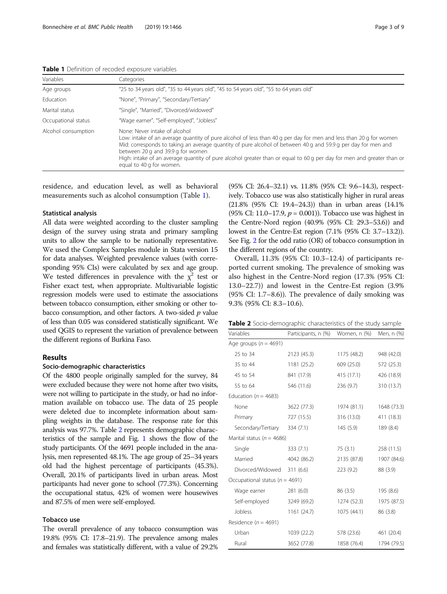| <b>Lable I</b> Definition of recoused exposure variables |                                                                                                                                                                                                                                                                                                                                                                                                                                                               |  |  |  |
|----------------------------------------------------------|---------------------------------------------------------------------------------------------------------------------------------------------------------------------------------------------------------------------------------------------------------------------------------------------------------------------------------------------------------------------------------------------------------------------------------------------------------------|--|--|--|
| Variables                                                | Categories                                                                                                                                                                                                                                                                                                                                                                                                                                                    |  |  |  |
| Age groups                                               | "25 to 34 years old", "35 to 44 years old", "45 to 54 years old", "55 to 64 years old"                                                                                                                                                                                                                                                                                                                                                                        |  |  |  |
| <b>Education</b>                                         | "None", "Primary", "Secondary/Tertiary"                                                                                                                                                                                                                                                                                                                                                                                                                       |  |  |  |
| Marital status                                           | "Single", "Married", "Divorced/widowed"                                                                                                                                                                                                                                                                                                                                                                                                                       |  |  |  |
| Occupational status                                      | "Wage earner", "Self-employed", "Jobless"                                                                                                                                                                                                                                                                                                                                                                                                                     |  |  |  |
| Alcohol consumption                                      | None: Never intake of alcohol<br>Low: intake of an average quantity of pure alcohol of less than 40 g per day for men and less than 20 g for women<br>Mid: corresponds to taking an average quantity of pure alcohol of between 40 g and 59.9 g per day for men and<br>between 20 g and 39.9 g for women<br>High: intake of an average quantity of pure alcohol greater than or equal to 60 g per day for men and greater than or<br>equal to 40 g for women. |  |  |  |

Table 1 Definition of recoded exposure variables

residence, and education level, as well as behavioral measurements such as alcohol consumption (Table 1).

#### Statistical analysis

All data were weighted according to the cluster sampling design of the survey using strata and primary sampling units to allow the sample to be nationally representative. We used the Complex Samples module in Stata version 15 for data analyses. Weighted prevalence values (with corresponding 95% CIs) were calculated by sex and age group. We tested differences in prevalence with the  $\chi^2$  test or Fisher exact test, when appropriate. Multivariable logistic regression models were used to estimate the associations between tobacco consumption, either smoking or other tobacco consumption, and other factors. A two-sided  $p$  value of less than 0.05 was considered statistically significant. We used QGIS to represent the variation of prevalence between the different regions of Burkina Faso.

# Results

#### Socio-demographic characteristics

Of the 4800 people originally sampled for the survey, 84 were excluded because they were not home after two visits, were not willing to participate in the study, or had no information available on tobacco use. The data of 25 people were deleted due to incomplete information about sampling weights in the database. The response rate for this analysis was 97.7%. Table 2 represents demographic characteristics of the sample and Fig. [1](#page-3-0) shows the flow of the study participants. Of the 4691 people included in the analysis, men represented 48.1%. The age group of 25–34 years old had the highest percentage of participants (45.3%). Overall, 20.1% of participants lived in urban areas. Most participants had never gone to school (77.3%). Concerning the occupational status, 42% of women were housewives and 87.5% of men were self-employed.

# Tobacco use

The overall prevalence of any tobacco consumption was 19.8% (95% CI: 17.8–21.9). The prevalence among males and females was statistically different, with a value of 29.2%

(95% CI: 26.4–32.1) vs. 11.8% (95% CI: 9.6–14.3), respectively. Tobacco use was also statistically higher in rural areas (21.8% (95% CI: 19.4–24.3)) than in urban areas (14.1% (95% CI: 11.0–17.9,  $p = 0.001$ )). Tobacco use was highest in the Centre-Nord region (40.9% (95% CI: 29.3–53.6)) and lowest in the Centre-Est region (7.1% (95% CI: 3.7–13.2)). See Fig. [2](#page-4-0) for the odd ratio (OR) of tobacco consumption in the different regions of the country.

Overall, 11.3% (95% CI: 10.3–12.4) of participants reported current smoking. The prevalence of smoking was also highest in the Centre-Nord region (17.3% (95% CI: 13.0–22.7)) and lowest in the Centre-Est region (3.9% (95% CI: 1.7–8.6)). The prevalence of daily smoking was 9.3% (95% CI: 8.3–10.6).

| <b>Table 2</b> Socio-demographic characteristics of the study sample |  |  |  |  |
|----------------------------------------------------------------------|--|--|--|--|
|----------------------------------------------------------------------|--|--|--|--|

| Variables                          | Participants, n (%) | Women, n (%) | Men, n (%)  |  |
|------------------------------------|---------------------|--------------|-------------|--|
| Age groups ( $n = 4691$ )          |                     |              |             |  |
| 25 to 34                           | 2123 (45.3)         | 1175 (48.2)  | 948 (42.0)  |  |
| 35 to 44                           | 1181 (25.2)         | 609 (25.0)   | 572 (25.3)  |  |
| 45 to 54                           | 841 (17.9)          | 415 (17.1)   | 426 (18.9)  |  |
| 55 to 64                           | 546 (11.6)          | 236(9.7)     | 310 (13.7)  |  |
| Education ( $n = 4683$ )           |                     |              |             |  |
| None                               | 3622 (77.3)         | 1974 (81.1)  | 1648 (73.3) |  |
| Primary                            | 727 (15.5)          | 316 (13.0)   | 411 (18.3)  |  |
| Secondary/Tertiary                 | 334 (7.1)           | 145(5.9)     | 189 (8.4)   |  |
| Marital status ( $n = 4686$ )      |                     |              |             |  |
| Single                             | 333(7.1)            | 75 (3.1)     | 258 (11.5)  |  |
| Married                            | 4042 (86.2)         | 2135 (87.8)  | 1907 (84.6) |  |
| Divorced/Widowed                   | 311(6.6)            | 223 (9.2)    | 88 (3.9)    |  |
| Occupational status ( $n = 4691$ ) |                     |              |             |  |
| Wage earner                        | 281(6.0)            | 86 (3.5)     | 195 (8.6)   |  |
| Self-employed                      | 3249 (69.2)         | 1274 (52.3)  | 1975 (87.5) |  |
| Jobless                            | 1161 (24.7)         | 1075 (44.1)  | 86 (3.8)    |  |
| Residence ( $n = 4691$ )           |                     |              |             |  |
| Urban                              | 1039 (22.2)         | 578 (23.6)   | 461 (20.4)  |  |
| Rural                              | 3652 (77.8)         | 1858 (76.4)  | 1794 (79.5) |  |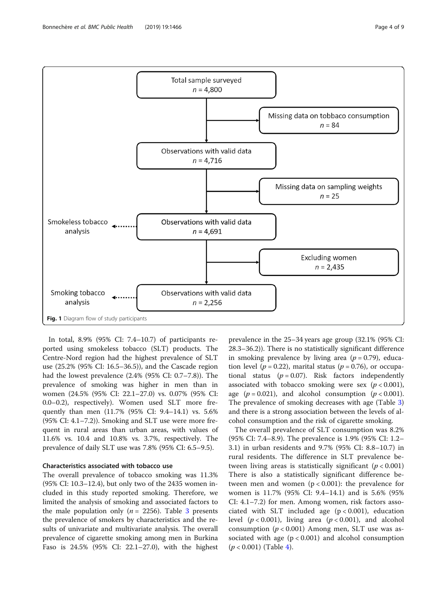<span id="page-3-0"></span>

In total, 8.9% (95% CI: 7.4–10.7) of participants reported using smokeless tobacco (SLT) products. The Centre-Nord region had the highest prevalence of SLT use (25.2% (95% CI: 16.5–36.5)), and the Cascade region had the lowest prevalence (2.4% (95% CI: 0.7–7.8)). The prevalence of smoking was higher in men than in women (24.5% (95% CI: 22.1–27.0) vs. 0.07% (95% CI: 0.0–0.2), respectively). Women used SLT more frequently than men (11.7% (95% CI: 9.4–14.1) vs. 5.6% (95% CI: 4.1–7.2)). Smoking and SLT use were more frequent in rural areas than urban areas, with values of 11.6% vs. 10.4 and 10.8% vs. 3.7%, respectively. The prevalence of daily SLT use was 7.8% (95% CI: 6.5–9.5).

# Characteristics associated with tobacco use

The overall prevalence of tobacco smoking was 11.3% (95% CI: 10.3–12.4), but only two of the 2435 women included in this study reported smoking. Therefore, we limited the analysis of smoking and associated factors to the male population only ( $n = 2256$ ). Table [3](#page-5-0) presents the prevalence of smokers by characteristics and the results of univariate and multivariate analysis. The overall prevalence of cigarette smoking among men in Burkina Faso is 24.5% (95% CI: 22.1–27.0), with the highest

prevalence in the 25–34 years age group (32.1% (95% CI: 28.3–36.2)). There is no statistically significant difference in smoking prevalence by living area ( $p = 0.79$ ), education level ( $p = 0.22$ ), marital status ( $p = 0.76$ ), or occupational status ( $p = 0.07$ ). Risk factors independently associated with tobacco smoking were sex  $(p < 0.001)$ , age  $(p = 0.021)$ , and alcohol consumption  $(p < 0.001)$ . The prevalence of smoking decreases with age (Table [3](#page-5-0)) and there is a strong association between the levels of alcohol consumption and the risk of cigarette smoking.

The overall prevalence of SLT consumption was 8.2% (95% CI: 7.4–8.9). The prevalence is 1.9% (95% CI: 1.2– 3.1) in urban residents and 9.7% (95% CI: 8.8–10.7) in rural residents. The difference in SLT prevalence between living areas is statistically significant  $(p < 0.001)$ There is also a statistically significant difference between men and women  $(p < 0.001)$ : the prevalence for women is 11.7% (95% CI: 9.4–14.1) and is 5.6% (95% CI: 4.1–7.2) for men. Among women, risk factors associated with SLT included age  $(p < 0.001)$ , education level  $(p < 0.001)$ , living area  $(p < 0.001)$ , and alcohol consumption ( $p < 0.001$ ) Among men, SLT use was associated with age  $(p < 0.001)$  and alcohol consumption  $(p < 0.001)$  (Table [4\)](#page-6-0).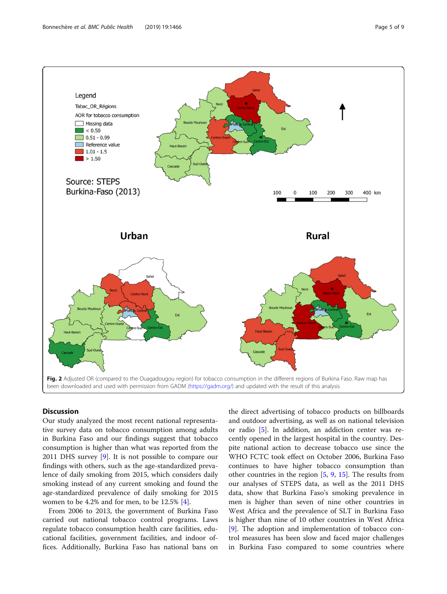<span id="page-4-0"></span>

# **Discussion**

Our study analyzed the most recent national representative survey data on tobacco consumption among adults in Burkina Faso and our findings suggest that tobacco consumption is higher than what was reported from the 2011 DHS survey [[9\]](#page-8-0). It is not possible to compare our findings with others, such as the age-standardized prevalence of daily smoking from 2015, which considers daily smoking instead of any current smoking and found the age-standardized prevalence of daily smoking for 2015 women to be 4.2% and for men, to be 12.5% [\[4](#page-7-0)].

From 2006 to 2013, the government of Burkina Faso carried out national tobacco control programs. Laws regulate tobacco consumption health care facilities, educational facilities, government facilities, and indoor offices. Additionally, Burkina Faso has national bans on the direct advertising of tobacco products on billboards and outdoor advertising, as well as on national television or radio [[5\]](#page-7-0). In addition, an addiction center was recently opened in the largest hospital in the country. Despite national action to decrease tobacco use since the WHO FCTC took effect on October 2006, Burkina Faso continues to have higher tobacco consumption than other countries in the region [\[5](#page-7-0), [9,](#page-8-0) [15\]](#page-8-0). The results from our analyses of STEPS data, as well as the 2011 DHS data, show that Burkina Faso's smoking prevalence in men is higher than seven of nine other countries in West Africa and the prevalence of SLT in Burkina Faso is higher than nine of 10 other countries in West Africa [[9\]](#page-8-0). The adoption and implementation of tobacco control measures has been slow and faced major challenges in Burkina Faso compared to some countries where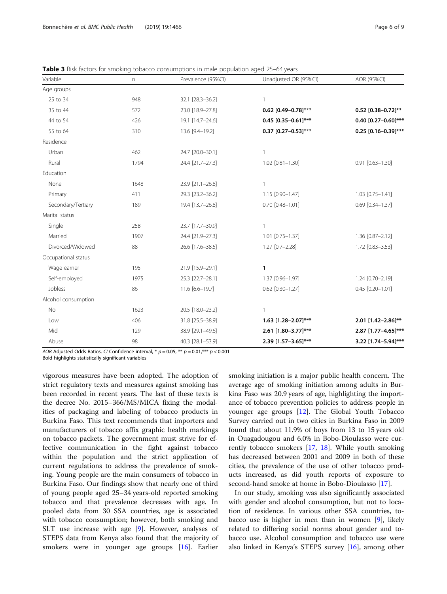| Variable            | n    | Prevalence (95%Cl) | Unadjusted OR (95%Cl)    | AOR (95%CI)               |
|---------------------|------|--------------------|--------------------------|---------------------------|
| Age groups          |      |                    |                          |                           |
| 25 to 34            | 948  | 32.1 [28.3-36.2]   |                          |                           |
| 35 to 44            | 572  | 23.0 [18.9-27.8]   | 0.62 $[0.49 - 0.78]$ *** | 0.52 $[0.38 - 0.72]^{**}$ |
| 44 to 54            | 426  | 19.1 [14.7-24.6]   | 0.45 $[0.35 - 0.61]$ *** | 0.40 $[0.27 - 0.60]$ ***  |
| 55 to 64            | 310  | 13.6 [9.4-19.2]    | 0.37 $[0.27-0.53]***$    | $0.25$ [0.16-0.39]***     |
| Residence           |      |                    |                          |                           |
| Urban               | 462  | 24.7 [20.0-30.1]   |                          |                           |
| Rural               | 1794 | 24.4 [21.7-27.3]   | $1.02$ [0.81-1.30]       | $0.91$ $[0.63 - 1.30]$    |
| Education           |      |                    |                          |                           |
| None                | 1648 | 23.9 [21.1-26.8]   |                          |                           |
| Primary             | 411  | 29.3 [23.2-36.2]   | 1.15 [0.90-1.47]         | $1.03$ [0.75-1.41]        |
| Secondary/Tertiary  | 189  | 19.4 [13.7-26.8]   | $0.70$ $[0.48 - 1.01]$   | $0.69$ [0.34-1.37]        |
| Marital status      |      |                    |                          |                           |
| Single              | 258  | 23.7 [17.7-30.9]   |                          |                           |
| Married             | 1907 | 24.4 [21.9-27.3]   | 1.01 [0.75-1.37]         | 1.36 [0.87-2.12]          |
| Divorced/Widowed    | 88   | 26.6 [17.6-38.5]   | 1.27 [0.7-2.28]          | 1.72 [0.83-3.53]          |
| Occupational status |      |                    |                          |                           |
| Wage earner         | 195  | 21.9 [15.9-29.1]   | 1                        |                           |
| Self-employed       | 1975 | 25.3 [22.7-28.1]   | 1.37 [0.96-1.97]         | 1.24 [0.70-2.19]          |
| Jobless             | 86   | 11.6 [6.6-19.7]    | $0.62$ [0.30-1.27]       | $0.45$ [0.20-1.01]        |
| Alcohol consumption |      |                    |                          |                           |
| No                  | 1623 | 20.5 [18.0-23.2]   |                          |                           |
| Low                 | 406  | 31.8 [25.5-38.9]   | 1.63 [1.28-2.07]***      | 2.01 [1.42-2.86]**        |
| Mid                 | 129  | 38.9 [29.1-49.6]   | 2.61 [1.80-3.77]***      | 2.87 [1.77-4.65]***       |
| Abuse               | 98   | 40.3 [28.1-53.9]   | 2.39 [1.57-3.65]***      | 3.22 [1.74-5.94]***       |

<span id="page-5-0"></span>Table 3 Risk factors for smoking tobacco consumptions in male population aged 25-64 years

AOR Adjusted Odds Ratios. CI Confidence interval, \*  $p = 0.05$ , \*\*  $p = 0.01$ , \*\*\*  $p < 0.001$ 

Bold highlights statistically significant variables

vigorous measures have been adopted. The adoption of strict regulatory texts and measures against smoking has been recorded in recent years. The last of these texts is the decree No. 2015–366/MS/MICA fixing the modalities of packaging and labeling of tobacco products in Burkina Faso. This text recommends that importers and manufacturers of tobacco affix graphic health markings on tobacco packets. The government must strive for effective communication in the fight against tobacco within the population and the strict application of current regulations to address the prevalence of smoking. Young people are the main consumers of tobacco in Burkina Faso. Our findings show that nearly one of third of young people aged 25–34 years-old reported smoking tobacco and that prevalence decreases with age. In pooled data from 30 SSA countries, age is associated with tobacco consumption; however, both smoking and SLT use increase with age [\[9](#page-8-0)]. However, analyses of STEPS data from Kenya also found that the majority of smokers were in younger age groups [[16\]](#page-8-0). Earlier

smoking initiation is a major public health concern. The average age of smoking initiation among adults in Burkina Faso was 20.9 years of age, highlighting the importance of tobacco prevention policies to address people in younger age groups [\[12](#page-8-0)]. The Global Youth Tobacco Survey carried out in two cities in Burkina Faso in 2009 found that about 11.9% of boys from 13 to 15 years old in Ouagadougou and 6.0% in Bobo-Dioulasso were currently tobacco smokers [[17](#page-8-0), [18\]](#page-8-0). While youth smoking has decreased between 2001 and 2009 in both of these cities, the prevalence of the use of other tobacco products increased, as did youth reports of exposure to second-hand smoke at home in Bobo-Dioulasso [\[17](#page-8-0)].

In our study, smoking was also significantly associated with gender and alcohol consumption, but not to location of residence. In various other SSA countries, tobacco use is higher in men than in women [\[9](#page-8-0)], likely related to differing social norms about gender and tobacco use. Alcohol consumption and tobacco use were also linked in Kenya's STEPS survey [[16\]](#page-8-0), among other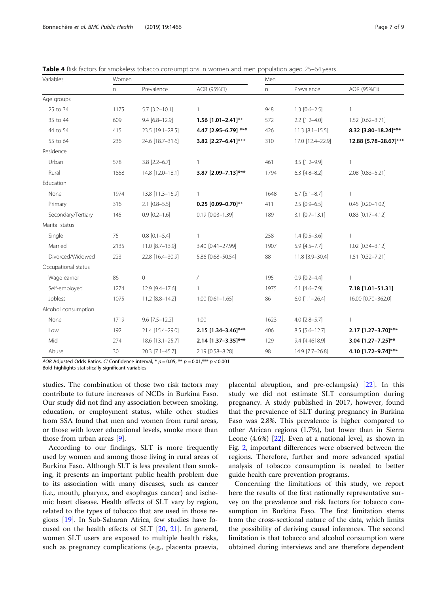| Variables           | Women    |                     |                        | Men          |                       |                       |
|---------------------|----------|---------------------|------------------------|--------------|-----------------------|-----------------------|
|                     | $\Gamma$ | Prevalence          | AOR (95%CI)            | $\mathsf{n}$ | Prevalence            | AOR (95%CI)           |
| Age groups          |          |                     |                        |              |                       |                       |
| 25 to 34            | 1175     | $5.7$ [3.2-10.1]    | 1                      | 948          | $1.3$ $[0.6 - 2.5]$   | 1                     |
| 35 to 44            | 609      | $9.4 [6.8 - 12.9]$  | 1.56 [1.01-2.41]**     | 572          | $2.2$ [1.2-4.0]       | 1.52 [0.62-3.71]      |
| 44 to 54            | 415      | 23.5 [19.1-28.5]    | 4.47 [2.95-6.79] ***   | 426          | $11.3$ $[8.1 - 15.5]$ | 8.32 [3.80-18.24]***  |
| 55 to 64            | 236      | 24.6 [18.7-31.6]    | 3.82 [2.27-6.41]***    | 310          | 17.0 [12.4-22.9]      | 12.88 [5.78-28.67]*** |
| Residence           |          |                     |                        |              |                       |                       |
| Urban               | 578      | $3.8$ [2.2-6.7]     | 1                      | 461          | $3.5$ [1.2-9.9]       | 1                     |
| Rural               | 1858     | 14.8 [12.0-18.1]    | 3.87 [2.09-7.13]***    | 1794         | $6.3$ [4.8-8.2]       | 2.08 [0.83-5.21]      |
| Education           |          |                     |                        |              |                       |                       |
| None                | 1974     | 13.8 [11.3-16.9]    | 1                      | 1648         | $6.7$ [5.1-8.7]       |                       |
| Primary             | 316      | $2.1$ [0.8-5.5]     | $0.25$ [0.09-0.70]**   | 411          | $2.5$ [0.9-6.5]       | $0.45$ [0.20-1.02]    |
| Secondary/Tertiary  | 145      | $0.9$ $[0.2 - 1.6]$ | $0.19$ $[0.03 - 1.39]$ | 189          | $3.1$ $[0.7-13.1]$    | $0.83$ [0.17-4.12]    |
| Marital status      |          |                     |                        |              |                       |                       |
| Single              | 75       | $0.8$ $[0.1 - 5.4]$ | 1                      | 258          | $1.4$ [0.5-3.6]       | 1                     |
| Married             | 2135     | 11.0 [8.7-13.9]     | 3.40 [0.41-27.99]      | 1907         | $5.9$ [4.5-7.7]       | 1.02 [0.34-3.12]      |
| Divorced/Widowed    | 223      | 22.8 [16.4-30.9]    | 5.86 [0.68-50.54]      | 88           | 11.8 [3.9-30.4]       | 1.51 [0.32-7.21]      |
| Occupational status |          |                     |                        |              |                       |                       |
| Wage earner         | 86       | $\circ$             |                        | 195          | $0.9$ $[0.2 - 4.4]$   | 1                     |
| Self-employed       | 1274     | 12.9 [9.4-17.6]     | 1                      | 1975         | $6.1$ [4.6-7.9]       | 7.18 [1.01-51.31]     |
| Jobless             | 1075     | 11.2 [8.8-14.2]     | $1.00$ [0.61-1.65]     | 86           | $6.0$ [1.1-26.4]      | 16.00 [0.70-362.0]    |
| Alcohol consumption |          |                     |                        |              |                       |                       |
| None                | 1719     | $9.6$ [7.5-12.2]    | 1.00                   | 1623         | $4.0$ [2.8-5.7]       | 1                     |
| Low                 | 192      | 21.4 [15.4-29.0]    | 2.15 [1.34-3.46]***    | 406          | $8.5$ [5.6-12.7]      | 2.17 [1.27-3.70]***   |
| Mid                 | 274      | 18.6 [13.1-25.7]    | 2.14 [1.37-3.35]***    | 129          | 9.4 [4.4618.9]        | 3.04 [1.27-7.25]**    |
|                     |          |                     |                        |              |                       |                       |

Abuse 30 20.3 [7.1–45.7] 2.19 [0.58–8.28] 98 14.9 [7.7–26.8] 4.10 [1.72–9.74]\*\*\*

<span id="page-6-0"></span>**Table 4** Risk factors for smokeless tobacco consumptions in women and men population aged 25–64 years

AOR Adjusted Odds Ratios. CI Confidence interval, \*  $p = 0.05$ , \*\*  $p = 0.01$ , \*\*\*  $p < 0.001$ 

Bold highlights statistically significant variables

studies. The combination of those two risk factors may contribute to future increases of NCDs in Burkina Faso. Our study did not find any association between smoking, education, or employment status, while other studies from SSA found that men and women from rural areas, or those with lower educational levels, smoke more than those from urban areas [[9\]](#page-8-0).

According to our findings, SLT is more frequently used by women and among those living in rural areas of Burkina Faso. Although SLT is less prevalent than smoking, it presents an important public health problem due to its association with many diseases, such as cancer (i.e., mouth, pharynx, and esophagus cancer) and ischemic heart disease. Health effects of SLT vary by region, related to the types of tobacco that are used in those regions [[19\]](#page-8-0). In Sub-Saharan Africa, few studies have focused on the health effects of SLT [[20,](#page-8-0) [21\]](#page-8-0). In general, women SLT users are exposed to multiple health risks, such as pregnancy complications (e.g., placenta praevia,

placental abruption, and pre-eclampsia) [\[22\]](#page-8-0). In this study we did not estimate SLT consumption during pregnancy. A study published in 2017, however, found that the prevalence of SLT during pregnancy in Burkina Faso was 2.8%. This prevalence is higher compared to other African regions (1.7%), but lower than in Sierra Leone (4.6%) [\[22](#page-8-0)]. Even at a national level, as shown in Fig. [2,](#page-4-0) important differences were observed between the regions. Therefore, further and more advanced spatial analysis of tobacco consumption is needed to better guide health care prevention programs.

Concerning the limitations of this study, we report here the results of the first nationally representative survey on the prevalence and risk factors for tobacco consumption in Burkina Faso. The first limitation stems from the cross-sectional nature of the data, which limits the possibility of deriving causal inferences. The second limitation is that tobacco and alcohol consumption were obtained during interviews and are therefore dependent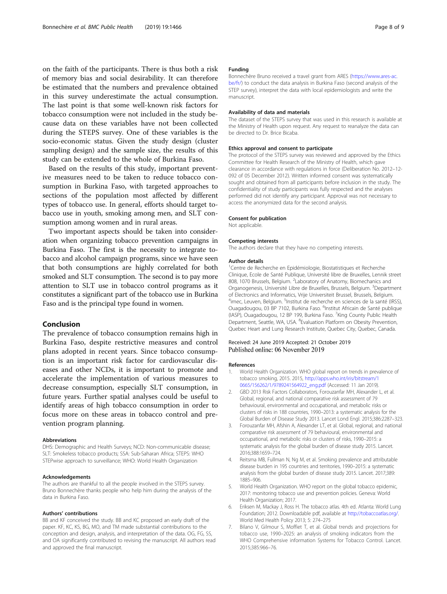<span id="page-7-0"></span>on the faith of the participants. There is thus both a risk of memory bias and social desirability. It can therefore be estimated that the numbers and prevalence obtained in this survey underestimate the actual consumption. The last point is that some well-known risk factors for tobacco consumption were not included in the study because data on these variables have not been collected during the STEPS survey. One of these variables is the socio-economic status. Given the study design (cluster sampling design) and the sample size, the results of this study can be extended to the whole of Burkina Faso.

Based on the results of this study, important preventive measures need to be taken to reduce tobacco consumption in Burkina Faso, with targeted approaches to sections of the population most affected by different types of tobacco use. In general, efforts should target tobacco use in youth, smoking among men, and SLT consumption among women and in rural areas.

Two important aspects should be taken into consideration when organizing tobacco prevention campaigns in Burkina Faso. The first is the necessity to integrate tobacco and alcohol campaign programs, since we have seen that both consumptions are highly correlated for both smoked and SLT consumption. The second is to pay more attention to SLT use in tobacco control programs as it constitutes a significant part of the tobacco use in Burkina Faso and is the principal type found in women.

## Conclusion

The prevalence of tobacco consumption remains high in Burkina Faso, despite restrictive measures and control plans adopted in recent years. Since tobacco consumption is an important risk factor for cardiovascular diseases and other NCDs, it is important to promote and accelerate the implementation of various measures to decrease consumption, especially SLT consumption, in future years. Further spatial analyses could be useful to identify areas of high tobacco consumption in order to focus more on these areas in tobacco control and prevention program planning.

#### Abbreviations

DHS: Demographic and Health Surveys; NCD: Non-communicable disease; SLT: Smokeless tobacco products; SSA: Sub-Saharan Africa; STEPS: WHO STEPwise approach to surveillance; WHO: World Health Organization

#### Acknowledgements

The authors are thankful to all the people involved in the STEPS survey. Bruno Bonnechère thanks people who help him during the analysis of the data in Burkina Faso.

#### Authors' contributions

BB and KF conceived the study. BB and KC proposed an early draft of the paper. KF, KC, KS, BG, MO, and TM made substantial contributions to the conception and design, analysis, and interpretation of the data. OG, FG, SS, and OA significantly contributed to revising the manuscript. All authors read and approved the final manuscript.

## Funding

Bonnechère Bruno received a travel grant from ARES ([https://www.ares-ac.](https://www.ares-ac.be/fr/) [be/fr/\)](https://www.ares-ac.be/fr/) to conduct the data analysis in Burkina Faso (second analysis of the STEP survey), interpret the data with local epidemiologists and write the manuscript.

#### Availability of data and materials

The dataset of the STEPS survey that was used in this research is available at the Ministry of Health upon request. Any request to reanalyze the data can be directed to Dr. Brice Bicaba.

#### Ethics approval and consent to participate

The protocol of the STEPS survey was reviewed and approved by the Ethics Committee for Health Research of the Ministry of Health, which gave clearance in accordance with regulations in force (Deliberation No. 2012–12- 092 of 05 December 2012). Written informed consent was systematically sought and obtained from all participants before inclusion in the study. The confidentiality of study participants was fully respected and the analyses performed did not identify any participant. Approval was not necessary to access the anonymized data for the second analysis.

#### Consent for publication

Not applicable.

#### Competing interests

The authors declare that they have no competing interests.

#### Author details

<sup>1</sup> Centre de Recherche en Epidémiologie, Biostatistiques et Recherche Clinique, Ecole de Santé Publique, Université libre de Bruxelles, Lennik street 808, 1070 Brussels, Belgium. <sup>2</sup>Laboratory of Anatomy, Biomechanics and Organogenesis, Université Libre de Bruxelles, Brussels, Belgium. <sup>3</sup>Department of Electronics and Informatics, Vrije Universiteit Brussel, Brussels, Belgium. <sup>4</sup>imec, Leuven, Belgium. <sup>5</sup>Institut de recherche en sciences de la santé (IRSS) Ouagadougou, 03 BP 7102, Burkina Faso. <sup>6</sup>Institut Africain de Santé publique (IASP), Ouagadougou, 12 BP 199, Burkina Faso. <sup>7</sup>King County Public Health Department, Seattle, WA, USA. <sup>8</sup>Evaluation Platform on Obesity Prevention, Quebec Heart and Lung Research Institute, Quebec City, Quebec, Canada.

#### Received: 24 June 2019 Accepted: 21 October 2019 Published online: 06 November 2019

#### References

- World Health Organization. WHO global report on trends in prevalence of tobacco smoking, 2015. 2015, [http://apps.who.int/iris/bitstream/1](http://apps.who.int/iris/bitstream/10665/156262/1/9789241564922_eng.pdf) [0665/156262/1/9789241564922\\_eng.pdf](http://apps.who.int/iris/bitstream/10665/156262/1/9789241564922_eng.pdf) (Accessed: 11 Jan 2019).
- 2. GBD 2013 Risk Factors Collaborators, Forouzanfar MH, Alexander L, et al. Global, regional, and national comparative risk assessment of 79 behavioural, environmental and occupational, and metabolic risks or clusters of risks in 188 countries, 1990–2013: a systematic analysis for the Global Burden of Disease Study 2013. Lancet Lond Engl. 2015;386:2287–323.
- 3. Forouzanfar MH, Afshin A, Alexander LT, et al. Global, regional, and national comparative risk assessment of 79 behavioural, environmental and occupational, and metabolic risks or clusters of risks, 1990–2015: a systematic analysis for the global burden of disease study 2015. Lancet. 2016;388:1659–724.
- 4. Reitsma MB, Fullman N, Ng M, et al. Smoking prevalence and attributable disease burden in 195 countries and territories, 1990–2015: a systematic analysis from the global burden of disease study 2015. Lancet. 2017;389: 1885–906.
- World Health Organization. WHO report on the global tobacco epidemic, 2017: monitoring tobacco use and prevention policies. Geneva: World Health Organization; 2017.
- 6. Eriksen M, Mackay J, Ross H. The tobacco atlas. 4th ed. Atlanta: World Lung Foundation; 2012. Downloadable pdf, available at <http://tobaccoatlas.org/>. World Med Health Policy 2013; 5: 274–275
- 7. Bilano V, Gilmour S, Moffiet T, et al. Global trends and projections for tobacco use, 1990–2025: an analysis of smoking indicators from the WHO Comprehensive information Systems for Tobacco Control. Lancet. 2015;385:966–76.